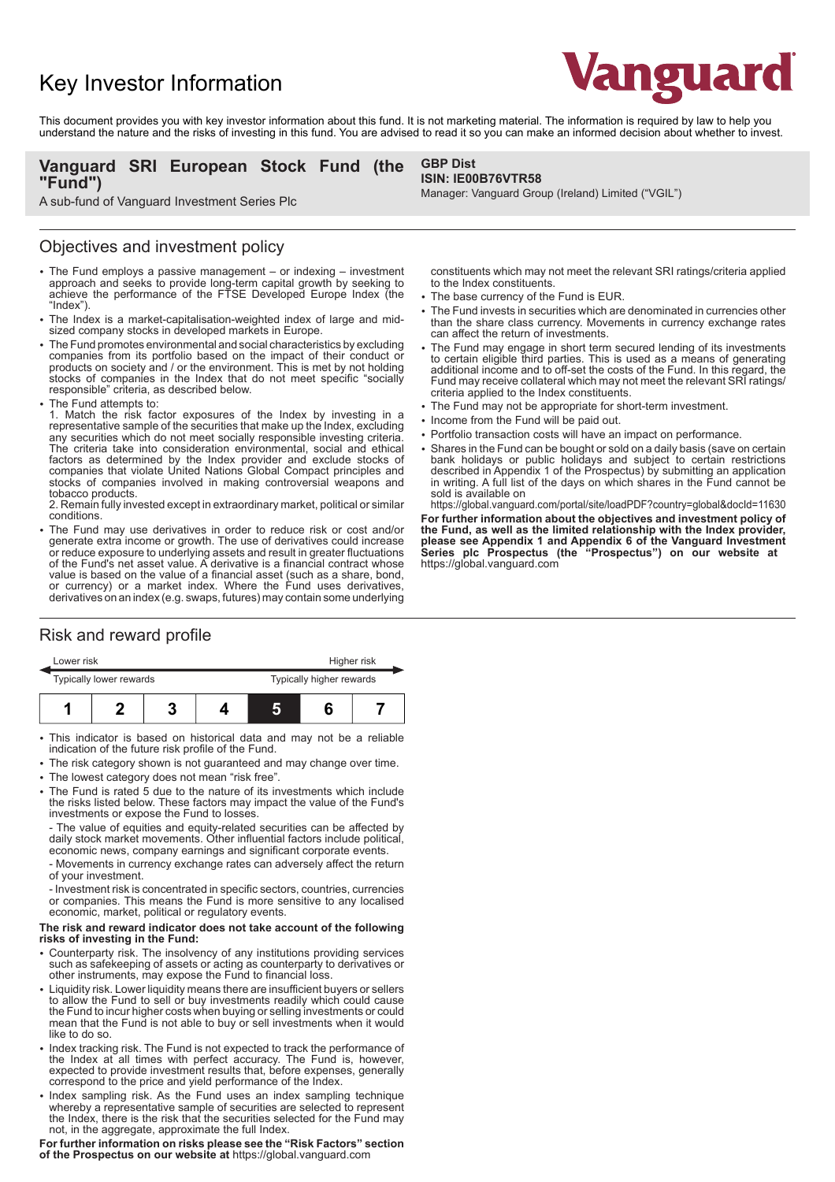# Key Investor Information



This document provides you with key investor information about this fund. It is not marketing material. The information is required by law to help you understand the nature and the risks of investing in this fund. You are advised to read it so you can make an informed decision about whether to invest.

## **Vanguard SRI European Stock Fund (the "Fund")**

# **GBP Dist**

#### **ISIN: IE00B76VTR58** Manager: Vanguard Group (Ireland) Limited ("VGIL")

A sub-fund of Vanguard Investment Series Plc

### Objectives and investment policy

- The Fund employs a passive management or indexing investment approach and seeks to provide long-term capital growth by seeking to achieve the performance of the FTSE Developed Europe Index (the "Index").
- 2 The Index is a market-capitalisation-weighted index of large and midsized company stocks in developed markets in Europe.
- The Fund promotes environmental and social characteristics by excluding companies from its portfolio based on the impact of their conduct or products on society and / or the environment. This is met by not holding stocks of companies in the Index that do not meet specific "socially responsible" criteria, as described below.
- The Fund attempts to:

1. Match the risk factor exposures of the Index by investing in a representative sample of the securities that make up the Index, excluding any securities which do not meet socially responsible investing criteria. The criteria take into consideration environmental, social and ethical factors as determined by the Index provider and exclude stocks of companies that violate United Nations Global Compact principles and stocks of companies involved in making controversial weapons and tobacco products.

2. Remain fully invested except in extraordinary market, political or similar conditions.

2 The Fund may use derivatives in order to reduce risk or cost and/or generate extra income or growth. The use of derivatives could increase or reduce exposure to underlying assets and result in greater fluctuations of the Fund's net asset value. A derivative is a financial contract whose value is based on the value of a financial asset (such as a share, bond, or currency) or a market index. Where the Fund uses derivatives, derivatives on an index (e.g. swaps, futures) may contain some underlying

#### constituents which may not meet the relevant SRI ratings/criteria applied to the Index constituents.

- The base currency of the Fund is EUR.
- The Fund invests in securities which are denominated in currencies other than the share class currency. Movements in currency exchange rates can affect the return of investments.
- The Fund may engage in short term secured lending of its investments to certain eligible third parties. This is used as a means of generating additional income and to off-set the costs of the Fund. In this regard, the Fund may receive collateral which may not meet the relevant SRI ratings/ criteria applied to the Index constituents.
- The Fund may not be appropriate for short-term investment.
- Income from the Fund will be paid out.
- Portfolio transaction costs will have an impact on performance.
- Shares in the Fund can be bought or sold on a daily basis (save on certain bank holidays or public holidays and subject to certain restrictions described in Appendix 1 of the Prospectus) by submitting an application in writing. A full list of the days on which shares in the Fund cannot be sold is available on

https://global.vanguard.com/portal/site/loadPDF?country=global&docId=11630 **For further information about the objectives and investment policy of the Fund, as well as the limited relationship with the Index provider, please see Appendix 1 and Appendix 6 of the Vanguard Investment Series plc Prospectus (the "Prospectus") on our website at**  https://global.vanguard.com

# Risk and reward profile

| Lower risk              |  |  |  | Higher risk              |  |  |
|-------------------------|--|--|--|--------------------------|--|--|
| Typically lower rewards |  |  |  | Typically higher rewards |  |  |
|                         |  |  |  |                          |  |  |

- This indicator is based on historical data and may not be a reliable indication of the future risk profile of the Fund.
- The risk category shown is not guaranteed and may change over time.
- The lowest category does not mean "risk free".
- The Fund is rated 5 due to the nature of its investments which include the risks listed below. These factors may impact the value of the Fund's investments or expose the Fund to losses.

- The value of equities and equity-related securities can be affected by daily stock market movements. Other influential factors include political, economic news, company earnings and significant corporate events.

- Movements in currency exchange rates can adversely affect the return of your investment.

- Investment risk is concentrated in specific sectors, countries, currencies or companies. This means the Fund is more sensitive to any localised economic, market, political or regulatory events.

#### **The risk and reward indicator does not take account of the following risks of investing in the Fund:**

- 2 Counterparty risk. The insolvency of any institutions providing services such as safekeeping of assets or acting as counterparty to derivatives or other instruments, may expose the Fund to financial loss.
- Liquidity risk. Lower liquidity means there are insufficient buyers or sellers to allow the Fund to sell or buy investments readily which could cause the Fund to incur higher costs when buying or selling investments or could mean that the Fund is not able to buy or sell investments when it would like to do so.
- Index tracking risk. The Fund is not expected to track the performance of the Index at all times with perfect accuracy. The Fund is, however, expected to provide investment results that, before expenses, generally correspond to the price and yield performance of the Index.
- Index sampling risk. As the Fund uses an index sampling technique whereby a representative sample of securities are selected to represent the Index, there is the risk that the securities selected for the Fund may not, in the aggregate, approximate the full Index.

**For further information on risks please see the "Risk Factors" section of the Prospectus on our website at** https://global.vanguard.com